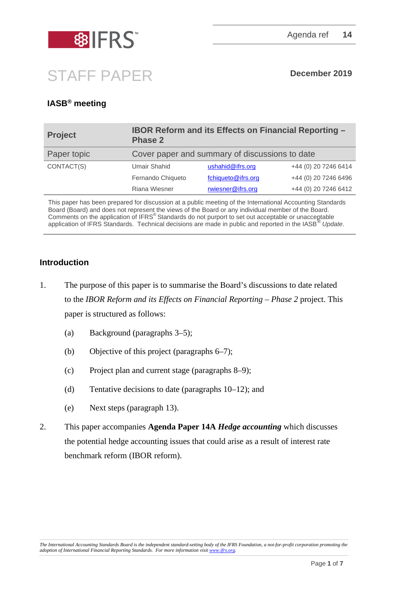

# STAFF PAPER **December <sup>2019</sup>**

## **IASB® meeting**

| <b>Project</b> | <b>IBOR Reform and its Effects on Financial Reporting -</b><br><b>Phase 2</b> |                    |                      |
|----------------|-------------------------------------------------------------------------------|--------------------|----------------------|
| Paper topic    | Cover paper and summary of discussions to date                                |                    |                      |
| CONTACT(S)     | <b>Umair Shahid</b>                                                           | ushahid@ifrs.org   | +44 (0) 20 7246 6414 |
|                | Fernando Chiqueto                                                             | fchiqueto@ifrs.org | +44 (0) 20 7246 6496 |
|                | Riana Wiesner                                                                 | rwiesner@ifrs.org  | +44 (0) 20 7246 6412 |
|                |                                                                               |                    |                      |

This paper has been prepared for discussion at a public meeting of the International Accounting Standards Board (Board) and does not represent the views of the Board or any individual member of the Board. Comments on the application of IFRS® Standards do not purport to set out acceptable or unacceptable application of IFRS Standards. Technical decisions are made in public and reported in the IASB® *Update*.

### **Introduction**

- 1. The purpose of this paper is to summarise the Board's discussions to date related to the *IBOR Reform and its Effects on Financial Reporting – Phase 2* project. This paper is structured as follows:
	- (a) Background (paragraphs [3–](#page-1-0)[5\)](#page-1-1);
	- (b) Objective of this project (paragraphs [6–](#page-1-2)[7\)](#page-2-0);
	- (c) Project plan and current stage (paragraphs [8–](#page-2-1)[9\)](#page-2-2);
	- (d) Tentative decisions to date (paragraphs [10–](#page-3-0)[12\)](#page-6-0); and
	- (e) Next steps (paragraph [13\)](#page-6-1).
- 2. This paper accompanies **Agenda Paper 14A** *Hedge accounting* which discusses the potential hedge accounting issues that could arise as a result of interest rate benchmark reform (IBOR reform).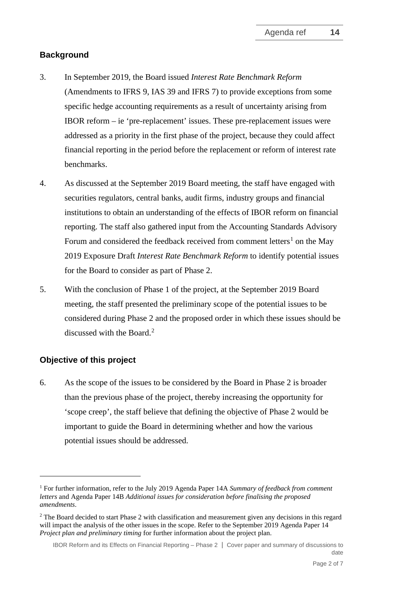#### **Background**

- <span id="page-1-0"></span>3. In September 2019, the Board issued *Interest Rate Benchmark Reform* (Amendments to IFRS 9, IAS 39 and IFRS 7) to provide exceptions from some specific hedge accounting requirements as a result of uncertainty arising from IBOR reform – ie 'pre-replacement' issues. These pre-replacement issues were addressed as a priority in the first phase of the project, because they could affect financial reporting in the period before the replacement or reform of interest rate benchmarks.
- 4. As discussed at the September 2019 Board meeting, the staff have engaged with securities regulators, central banks, audit firms, industry groups and financial institutions to obtain an understanding of the effects of IBOR reform on financial reporting. The staff also gathered input from the Accounting Standards Advisory Forum and considered the feedback received from comment letters<sup>[1](#page-1-3)</sup> on the May 2019 Exposure Draft *Interest Rate Benchmark Reform* to identify potential issues for the Board to consider as part of Phase 2.
- <span id="page-1-1"></span>5. With the conclusion of Phase 1 of the project, at the September 2019 Board meeting, the staff presented the preliminary scope of the potential issues to be considered during Phase 2 and the proposed order in which these issues should be discussed with the Board.<sup>[2](#page-1-4)</sup>

#### **Objective of this project**

<span id="page-1-2"></span>6. As the scope of the issues to be considered by the Board in Phase 2 is broader than the previous phase of the project, thereby increasing the opportunity for 'scope creep', the staff believe that defining the objective of Phase 2 would be important to guide the Board in determining whether and how the various potential issues should be addressed.

<span id="page-1-3"></span><sup>1</sup> For further information, refer to the July 2019 Agenda Paper 14A *Summary of feedback from comment letters* and Agenda Paper 14B *Additional issues for consideration before finalising the proposed amendments*.

<span id="page-1-4"></span><sup>&</sup>lt;sup>2</sup> The Board decided to start Phase 2 with classification and measurement given any decisions in this regard will impact the analysis of the other issues in the scope. Refer to the September 2019 Agenda Paper 14 *Project plan and preliminary timing* for further information about the project plan.

IBOR Reform and its Effects on Financial Reporting – Phase 2 │ Cover paper and summary of discussions to date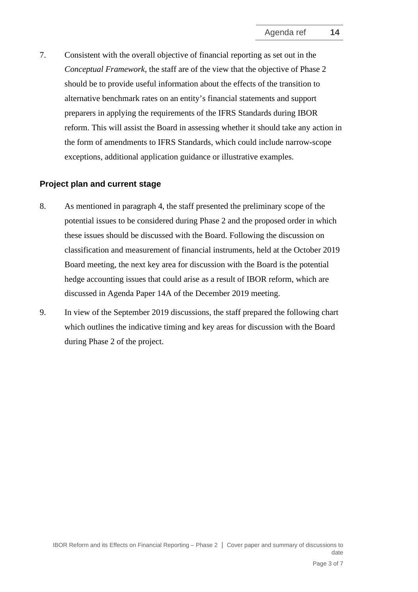<span id="page-2-0"></span>7. Consistent with the overall objective of financial reporting as set out in the *Conceptual Framework*, the staff are of the view that the objective of Phase 2 should be to provide useful information about the effects of the transition to alternative benchmark rates on an entity's financial statements and support preparers in applying the requirements of the IFRS Standards during IBOR reform. This will assist the Board in assessing whether it should take any action in the form of amendments to IFRS Standards, which could include narrow-scope exceptions, additional application guidance or illustrative examples.

#### **Project plan and current stage**

- <span id="page-2-1"></span>8. As mentioned in paragraph [4,](#page-1-1) the staff presented the preliminary scope of the potential issues to be considered during Phase 2 and the proposed order in which these issues should be discussed with the Board. Following the discussion on classification and measurement of financial instruments, held at the October 2019 Board meeting, the next key area for discussion with the Board is the potential hedge accounting issues that could arise as a result of IBOR reform, which are discussed in Agenda Paper 14A of the December 2019 meeting.
- <span id="page-2-2"></span>9. In view of the September 2019 discussions, the staff prepared the following chart which outlines the indicative timing and key areas for discussion with the Board during Phase 2 of the project.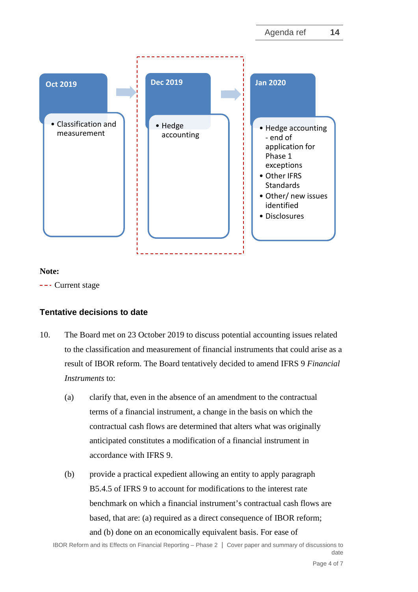

#### **Note:**

--- Current stage

### **Tentative decisions to date**

- <span id="page-3-0"></span>10. The Board met on 23 October 2019 to discuss potential accounting issues related to the classification and measurement of financial instruments that could arise as a result of IBOR reform. The Board tentatively decided to amend IFRS 9 *Financial Instruments* to:
	- (a) clarify that, even in the absence of an amendment to the contractual terms of a financial instrument, a change in the basis on which the contractual cash flows are determined that alters what was originally anticipated constitutes a modification of a financial instrument in accordance with IFRS 9.
	- (b) provide a practical expedient allowing an entity to apply paragraph B5.4.5 of IFRS 9 to account for modifications to the interest rate benchmark on which a financial instrument's contractual cash flows are based, that are: (a) required as a direct consequence of IBOR reform; and (b) done on an economically equivalent basis. For ease of

IBOR Reform and its Effects on Financial Reporting – Phase 2 │ Cover paper and summary of discussions to date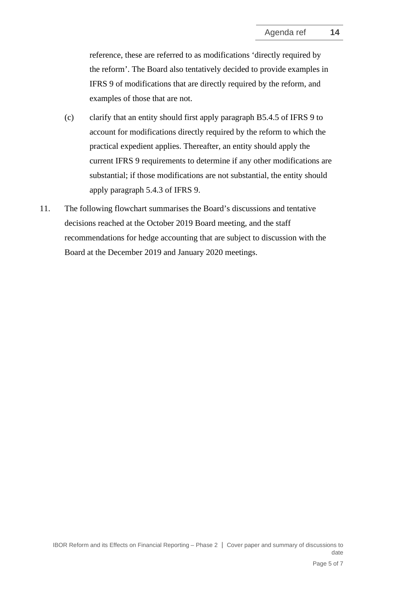reference, these are referred to as modifications 'directly required by the reform'. The Board also tentatively decided to provide examples in IFRS 9 of modifications that are directly required by the reform, and examples of those that are not.

- (c) clarify that an entity should first apply paragraph B5.4.5 of IFRS 9 to account for modifications directly required by the reform to which the practical expedient applies. Thereafter, an entity should apply the current IFRS 9 requirements to determine if any other modifications are substantial; if those modifications are not substantial, the entity should apply paragraph 5.4.3 of IFRS 9.
- 11. The following flowchart summarises the Board's discussions and tentative decisions reached at the October 2019 Board meeting, and the staff recommendations for hedge accounting that are subject to discussion with the Board at the December 2019 and January 2020 meetings.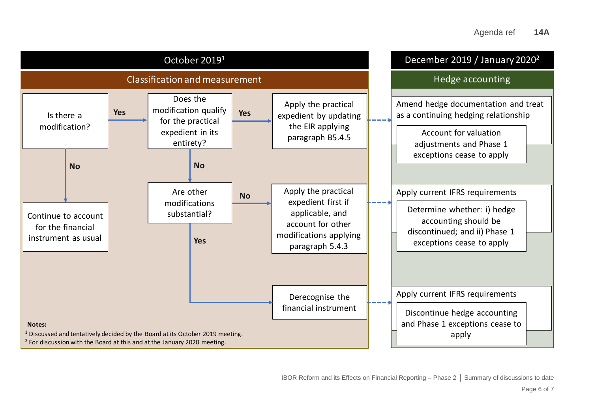